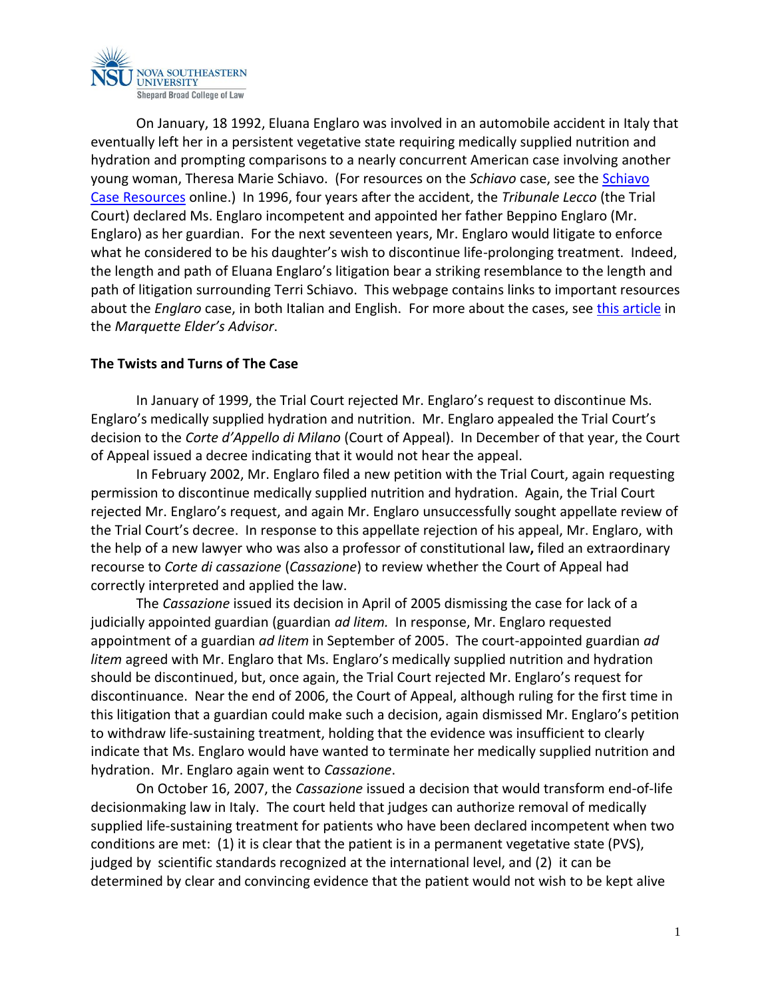

On January, 18 1992, Eluana Englaro was involved in an automobile accident in Italy that eventually left her in a persistent vegetative state requiring medically supplied nutrition and hydration and prompting comparisons to a nearly concurrent American case involving another young woman, Theresa Marie Schiavo. (For resources on the *Schiavo* case, see the [Schiavo](http://www.miami.edu/index.php/ethics/projects/schiavo)  [Case Resources](http://www.miami.edu/index.php/ethics/projects/schiavo) online.) In 1996, four years after the accident, the *Tribunale Lecco* (the Trial Court) declared Ms. Englaro incompetent and appointed her father Beppino Englaro (Mr. Englaro) as her guardian. For the next seventeen years, Mr. Englaro would litigate to enforce what he considered to be his daughter's wish to discontinue life-prolonging treatment. Indeed, the length and path of Eluana Englaro's litigation bear a striking resemblance to the length and path of litigation surrounding Terri Schiavo. This webpage contains links to important resources about the *Englaro* case, in both Italian and English. For more about the cases, see [this article](http://nsuworks.nova.edu/cgi/viewcontent.cgi?article=1157&context=law_facarticles) in the *Marquette Elder's Advisor*.

## **The Twists and Turns of The Case**

In January of 1999, the Trial Court rejected Mr. Englaro's request to discontinue Ms. Englaro's medically supplied hydration and nutrition. Mr. Englaro appealed the Trial Court's decision to the *Corte d'Appello di Milano* (Court of Appeal). In December of that year, the Court of Appeal issued a decree indicating that it would not hear the appeal.

In February 2002, Mr. Englaro filed a new petition with the Trial Court, again requesting permission to discontinue medically supplied nutrition and hydration. Again, the Trial Court rejected Mr. Englaro's request, and again Mr. Englaro unsuccessfully sought appellate review of the Trial Court's decree. In response to this appellate rejection of his appeal, Mr. Englaro, with the help of a new lawyer who was also a professor of constitutional law**,** filed an extraordinary recourse to *Corte di cassazione* (*Cassazione*) to review whether the Court of Appeal had correctly interpreted and applied the law.

The *Cassazione* issued its decision in April of 2005 dismissing the case for lack of a judicially appointed guardian (guardian *ad litem.* In response, Mr. Englaro requested appointment of a guardian *ad litem* in September of 2005. The court-appointed guardian *ad litem* agreed with Mr. Englaro that Ms. Englaro's medically supplied nutrition and hydration should be discontinued, but, once again, the Trial Court rejected Mr. Englaro's request for discontinuance. Near the end of 2006, the Court of Appeal, although ruling for the first time in this litigation that a guardian could make such a decision, again dismissed Mr. Englaro's petition to withdraw life-sustaining treatment, holding that the evidence was insufficient to clearly indicate that Ms. Englaro would have wanted to terminate her medically supplied nutrition and hydration. Mr. Englaro again went to *Cassazione*.

On October 16, 2007, the *Cassazione* issued a decision that would transform end-of-life decisionmaking law in Italy. The court held that judges can authorize removal of medically supplied life-sustaining treatment for patients who have been declared incompetent when two conditions are met: (1) it is clear that the patient is in a permanent vegetative state (PVS), judged by scientific standards recognized at the international level, and (2) it can be determined by clear and convincing evidence that the patient would not wish to be kept alive